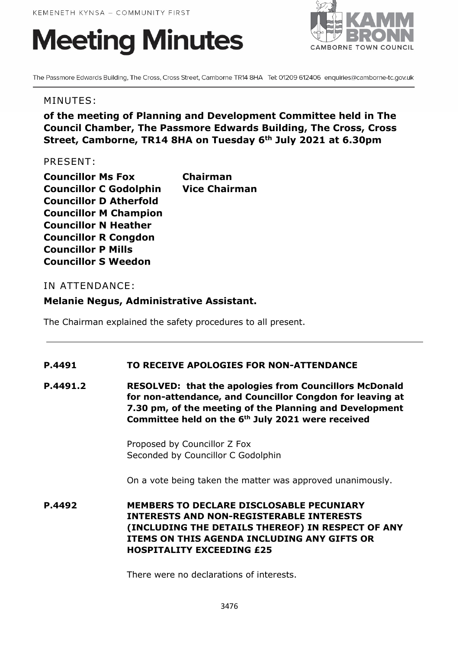# **Meeting Minutes**



The Passmore Edwards Building, The Cross, Cross Street, Camborne TR14 8HA Tel: 01209 612406 enquiries@camborne-tc.gov.uk

#### MINUTES:

# **of the meeting of Planning and Development Committee held in The Council Chamber, The Passmore Edwards Building, The Cross, Cross Street, Camborne, TR14 8HA on Tuesday 6th July 2021 at 6.30pm**

#### PRESENT:

| <b>Councillor Ms Fox</b>      | <b>Chairman</b>      |
|-------------------------------|----------------------|
| <b>Councillor C Godolphin</b> | <b>Vice Chairman</b> |
| <b>Councillor D Atherfold</b> |                      |
| <b>Councillor M Champion</b>  |                      |
| <b>Councillor N Heather</b>   |                      |
| <b>Councillor R Congdon</b>   |                      |
| <b>Councillor P Mills</b>     |                      |
| <b>Councillor S Weedon</b>    |                      |

## IN ATTENDANCE:

## **Melanie Negus, Administrative Assistant.**

The Chairman explained the safety procedures to all present.

## **P.4491 TO RECEIVE APOLOGIES FOR NON-ATTENDANCE**

**P.4491.2 RESOLVED: that the apologies from Councillors McDonald for non-attendance, and Councillor Congdon for leaving at 7.30 pm, of the meeting of the Planning and Development Committee held on the 6th July 2021 were received**

> Proposed by Councillor Z Fox Seconded by Councillor C Godolphin

On a vote being taken the matter was approved unanimously.

**P.4492 MEMBERS TO DECLARE DISCLOSABLE PECUNIARY INTERESTS AND NON-REGISTERABLE INTERESTS (INCLUDING THE DETAILS THEREOF) IN RESPECT OF ANY ITEMS ON THIS AGENDA INCLUDING ANY GIFTS OR HOSPITALITY EXCEEDING £25**

There were no declarations of interests.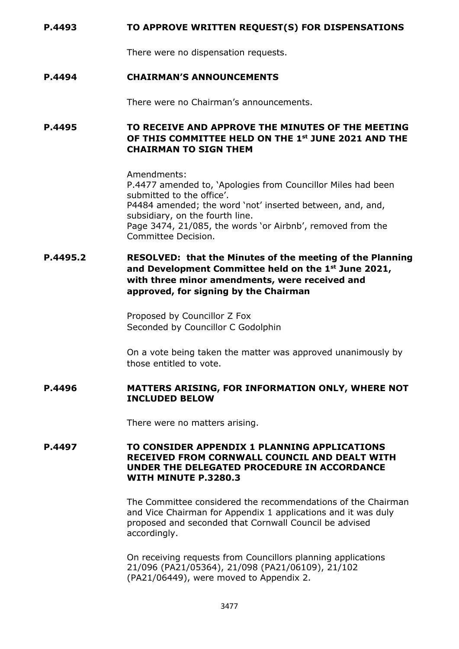#### **P.4493 TO APPROVE WRITTEN REQUEST(S) FOR DISPENSATIONS**

There were no dispensation requests.

#### **P.4494 CHAIRMAN'S ANNOUNCEMENTS**

There were no Chairman's announcements.

**P.4495 TO RECEIVE AND APPROVE THE MINUTES OF THE MEETING OF THIS COMMITTEE HELD ON THE 1st JUNE 2021 AND THE CHAIRMAN TO SIGN THEM**

> Amendments: P.4477 amended to, 'Apologies from Councillor Miles had been submitted to the office'. P4484 amended; the word 'not' inserted between, and, and, subsidiary, on the fourth line. Page 3474, 21/085, the words 'or Airbnb', removed from the Committee Decision.

## **P.4495.2 RESOLVED: that the Minutes of the meeting of the Planning and Development Committee held on the 1st June 2021, with three minor amendments, were received and approved, for signing by the Chairman**

Proposed by Councillor Z Fox Seconded by Councillor C Godolphin

On a vote being taken the matter was approved unanimously by those entitled to vote.

#### **P.4496 MATTERS ARISING, FOR INFORMATION ONLY, WHERE NOT INCLUDED BELOW**

There were no matters arising.

#### **P.4497 TO CONSIDER APPENDIX 1 PLANNING APPLICATIONS RECEIVED FROM CORNWALL COUNCIL AND DEALT WITH UNDER THE DELEGATED PROCEDURE IN ACCORDANCE WITH MINUTE P.3280.3**

The Committee considered the recommendations of the Chairman and Vice Chairman for Appendix 1 applications and it was duly proposed and seconded that Cornwall Council be advised accordingly.

On receiving requests from Councillors planning applications 21/096 (PA21/05364), 21/098 (PA21/06109), 21/102 (PA21/06449), were moved to Appendix 2.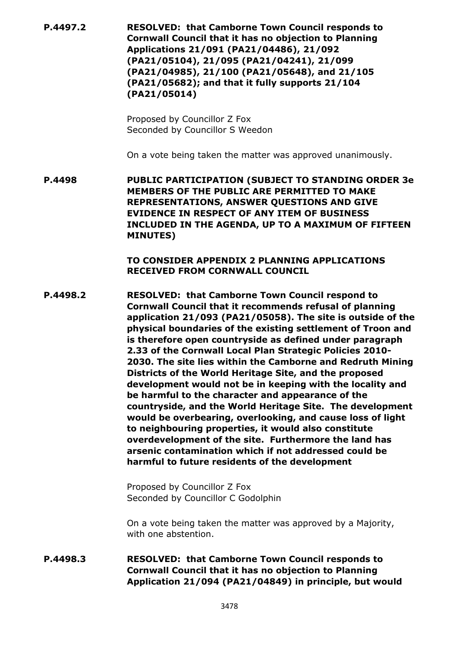**P.4497.2 RESOLVED: that Camborne Town Council responds to Cornwall Council that it has no objection to Planning Applications 21/091 (PA21/04486), 21/092 (PA21/05104), 21/095 (PA21/04241), 21/099 (PA21/04985), 21/100 (PA21/05648), and 21/105 (PA21/05682); and that it fully supports 21/104 (PA21/05014)**

> Proposed by Councillor Z Fox Seconded by Councillor S Weedon

On a vote being taken the matter was approved unanimously.

**P.4498 PUBLIC PARTICIPATION (SUBJECT TO STANDING ORDER 3e MEMBERS OF THE PUBLIC ARE PERMITTED TO MAKE REPRESENTATIONS, ANSWER QUESTIONS AND GIVE EVIDENCE IN RESPECT OF ANY ITEM OF BUSINESS INCLUDED IN THE AGENDA, UP TO A MAXIMUM OF FIFTEEN MINUTES)**

> **TO CONSIDER APPENDIX 2 PLANNING APPLICATIONS RECEIVED FROM CORNWALL COUNCIL**

**P.4498.2 RESOLVED: that Camborne Town Council respond to Cornwall Council that it recommends refusal of planning application 21/093 (PA21/05058). The site is outside of the physical boundaries of the existing settlement of Troon and is therefore open countryside as defined under paragraph 2.33 of the Cornwall Local Plan Strategic Policies 2010- 2030. The site lies within the Camborne and Redruth Mining Districts of the World Heritage Site, and the proposed development would not be in keeping with the locality and be harmful to the character and appearance of the countryside, and the World Heritage Site. The development would be overbearing, overlooking, and cause loss of light to neighbouring properties, it would also constitute overdevelopment of the site. Furthermore the land has arsenic contamination which if not addressed could be harmful to future residents of the development**

> Proposed by Councillor Z Fox Seconded by Councillor C Godolphin

On a vote being taken the matter was approved by a Majority, with one abstention.

**P.4498.3 RESOLVED: that Camborne Town Council responds to Cornwall Council that it has no objection to Planning Application 21/094 (PA21/04849) in principle, but would**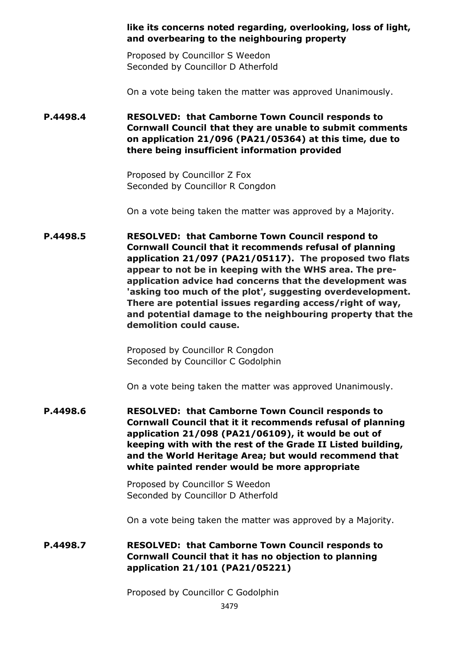#### **like its concerns noted regarding, overlooking, loss of light, and overbearing to the neighbouring property**

Proposed by Councillor S Weedon Seconded by Councillor D Atherfold

On a vote being taken the matter was approved Unanimously.

## **P.4498.4 RESOLVED: that Camborne Town Council responds to Cornwall Council that they are unable to submit comments on application 21/096 (PA21/05364) at this time, due to there being insufficient information provided**

Proposed by Councillor Z Fox Seconded by Councillor R Congdon

On a vote being taken the matter was approved by a Majority.

**P.4498.5 RESOLVED: that Camborne Town Council respond to Cornwall Council that it recommends refusal of planning application 21/097 (PA21/05117). The proposed two flats appear to not be in keeping with the WHS area. The preapplication advice had concerns that the development was 'asking too much of the plot', suggesting overdevelopment. There are potential issues regarding access/right of way, and potential damage to the neighbouring property that the demolition could cause.**

> Proposed by Councillor R Congdon Seconded by Councillor C Godolphin

On a vote being taken the matter was approved Unanimously.

**P.4498.6 RESOLVED: that Camborne Town Council responds to Cornwall Council that it it recommends refusal of planning application 21/098 (PA21/06109), it would be out of keeping with with the rest of the Grade II Listed building, and the World Heritage Area; but would recommend that white painted render would be more appropriate**

> Proposed by Councillor S Weedon Seconded by Councillor D Atherfold

On a vote being taken the matter was approved by a Majority.

## **P.4498.7 RESOLVED: that Camborne Town Council responds to Cornwall Council that it has no objection to planning application 21/101 (PA21/05221)**

Proposed by Councillor C Godolphin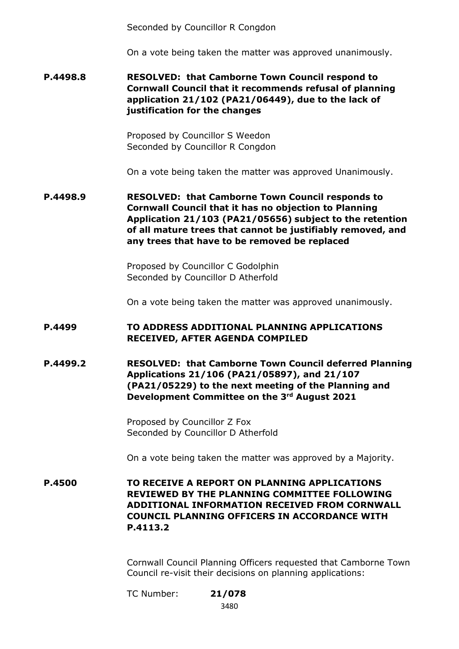Seconded by Councillor R Congdon

On a vote being taken the matter was approved unanimously.

**P.4498.8 RESOLVED: that Camborne Town Council respond to Cornwall Council that it recommends refusal of planning application 21/102 (PA21/06449), due to the lack of justification for the changes**

> Proposed by Councillor S Weedon Seconded by Councillor R Congdon

On a vote being taken the matter was approved Unanimously.

**P.4498.9 RESOLVED: that Camborne Town Council responds to Cornwall Council that it has no objection to Planning Application 21/103 (PA21/05656) subject to the retention of all mature trees that cannot be justifiably removed, and any trees that have to be removed be replaced**

> Proposed by Councillor C Godolphin Seconded by Councillor D Atherfold

On a vote being taken the matter was approved unanimously.

## **P.4499 TO ADDRESS ADDITIONAL PLANNING APPLICATIONS RECEIVED, AFTER AGENDA COMPILED**

**P.4499.2 RESOLVED: that Camborne Town Council deferred Planning Applications 21/106 (PA21/05897), and 21/107 (PA21/05229) to the next meeting of the Planning and Development Committee on the 3rd August 2021**

> Proposed by Councillor Z Fox Seconded by Councillor D Atherfold

On a vote being taken the matter was approved by a Majority.

**P.4500 TO RECEIVE A REPORT ON PLANNING APPLICATIONS REVIEWED BY THE PLANNING COMMITTEE FOLLOWING ADDITIONAL INFORMATION RECEIVED FROM CORNWALL COUNCIL PLANNING OFFICERS IN ACCORDANCE WITH P.4113.2**

> Cornwall Council Planning Officers requested that Camborne Town Council re-visit their decisions on planning applications:

TC Number: **21/078**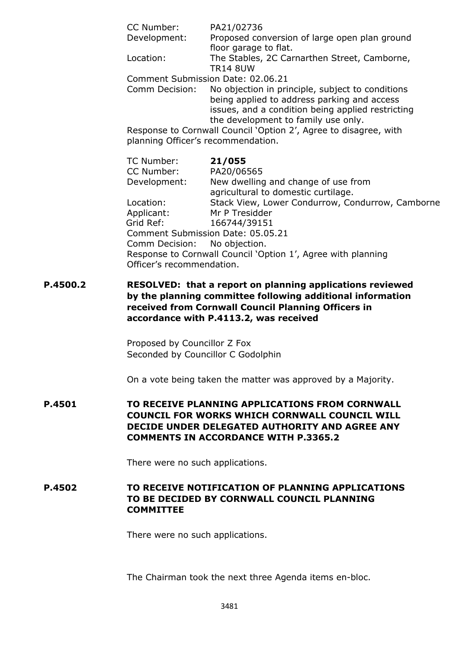| CC Number:                         | PA21/02736                                                                                                                                                                                  |
|------------------------------------|---------------------------------------------------------------------------------------------------------------------------------------------------------------------------------------------|
| Development:                       | Proposed conversion of large open plan ground<br>floor garage to flat.                                                                                                                      |
| Location:                          | The Stables, 2C Carnarthen Street, Camborne,<br><b>TR14 8UW</b>                                                                                                                             |
|                                    | Comment Submission Date: 02.06.21                                                                                                                                                           |
| Comm Decision:                     | No objection in principle, subject to conditions<br>being applied to address parking and access<br>issues, and a condition being applied restricting<br>the development to family use only. |
| planning Officer's recommendation. | Response to Cornwall Council 'Option 2', Agree to disagree, with                                                                                                                            |
| TC Number:                         | 21/055                                                                                                                                                                                      |
| CC Number:                         | PA20/06565                                                                                                                                                                                  |
| Development:                       | New dwelling and change of use from<br>agricultural to domestic curtilage.                                                                                                                  |
| Location:                          | Stack View, Lower Condurrow, Condurrow, Camborne                                                                                                                                            |
| Applicant:                         | Mr P Tresidder                                                                                                                                                                              |
| Grid Ref:                          | 166744/39151                                                                                                                                                                                |
| Comm Decision: No objection.       | Comment Submission Date: 05.05.21                                                                                                                                                           |
|                                    | Response to Cornwall Council 'Option 1', Agree with planning                                                                                                                                |
| Officer's recommendation.          |                                                                                                                                                                                             |

**P.4500.2 RESOLVED: that a report on planning applications reviewed by the planning committee following additional information received from Cornwall Council Planning Officers in accordance with P.4113.2, was received**

> Proposed by Councillor Z Fox Seconded by Councillor C Godolphin

On a vote being taken the matter was approved by a Majority.

**P.4501 TO RECEIVE PLANNING APPLICATIONS FROM CORNWALL COUNCIL FOR WORKS WHICH CORNWALL COUNCIL WILL DECIDE UNDER DELEGATED AUTHORITY AND AGREE ANY COMMENTS IN ACCORDANCE WITH P.3365.2**

There were no such applications.

**P.4502 TO RECEIVE NOTIFICATION OF PLANNING APPLICATIONS TO BE DECIDED BY CORNWALL COUNCIL PLANNING COMMITTEE**

There were no such applications.

The Chairman took the next three Agenda items en-bloc.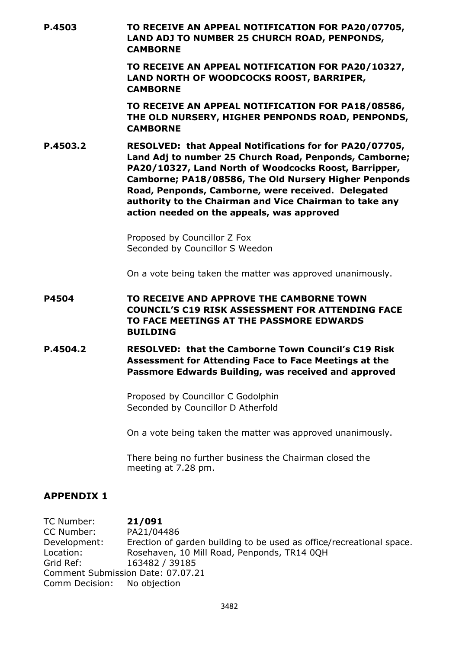| P.4503   | TO RECEIVE AN APPEAL NOTIFICATION FOR PA20/07705,<br>LAND ADJ TO NUMBER 25 CHURCH ROAD, PENPONDS,<br><b>CAMBORNE</b>                                                                                                                                                                                                                                                                               |
|----------|----------------------------------------------------------------------------------------------------------------------------------------------------------------------------------------------------------------------------------------------------------------------------------------------------------------------------------------------------------------------------------------------------|
|          | TO RECEIVE AN APPEAL NOTIFICATION FOR PA20/10327,<br>LAND NORTH OF WOODCOCKS ROOST, BARRIPER,<br><b>CAMBORNE</b>                                                                                                                                                                                                                                                                                   |
|          | TO RECEIVE AN APPEAL NOTIFICATION FOR PA18/08586,<br>THE OLD NURSERY, HIGHER PENPONDS ROAD, PENPONDS,<br><b>CAMBORNE</b>                                                                                                                                                                                                                                                                           |
| P.4503.2 | RESOLVED: that Appeal Notifications for for PA20/07705,<br>Land Adj to number 25 Church Road, Penponds, Camborne;<br>PA20/10327, Land North of Woodcocks Roost, Barripper,<br>Camborne; PA18/08586, The Old Nursery Higher Penponds<br>Road, Penponds, Camborne, were received. Delegated<br>authority to the Chairman and Vice Chairman to take any<br>action needed on the appeals, was approved |
|          | Proposed by Councillor Z Fox<br>Seconded by Councillor S Weedon                                                                                                                                                                                                                                                                                                                                    |
|          | On a vote being taken the matter was approved unanimously.                                                                                                                                                                                                                                                                                                                                         |
| P4504    | TO RECEIVE AND APPROVE THE CAMBORNE TOWN<br><b>COUNCIL'S C19 RISK ASSESSMENT FOR ATTENDING FACE</b><br>TO FACE MEETINGS AT THE PASSMORE EDWARDS<br><b>BUILDING</b>                                                                                                                                                                                                                                 |
| P.4504.2 | <b>RESOLVED: that the Camborne Town Council's C19 Risk</b><br><b>Assessment for Attending Face to Face Meetings at the</b><br>Passmore Edwards Building, was received and approved                                                                                                                                                                                                                 |
|          | Proposed by Councillor C Godolphin<br>Seconded by Councillor D Atherfold                                                                                                                                                                                                                                                                                                                           |
|          | On a vote being taken the matter was approved unanimously.                                                                                                                                                                                                                                                                                                                                         |
|          | There being no further business the Chairman closed the<br>meeting at 7.28 pm.                                                                                                                                                                                                                                                                                                                     |

## **APPENDIX 1**

TC Number: **21/091** CC Number: PA21/04486 Development: Erection of garden building to be used as office/recreational space.<br>Location: Rosehaven, 10 Mill Road, Penponds, TR14 0OH Location: Rosehaven, 10 Mill Road, Penponds, TR14 0QH<br>Grid Ref: 163482 / 39185 163482 / 39185 Comment Submission Date: 07.07.21 Comm Decision: No objection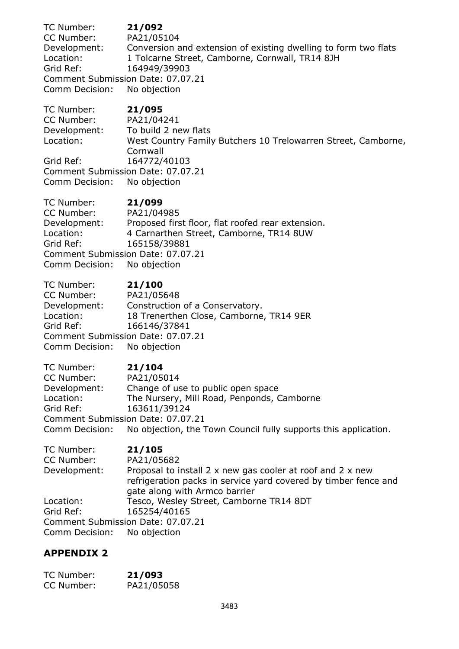TC Number: **21/092** CC Number: PA21/05104 Development: Conversion and extension of existing dwelling to form two flats Location: 1 Tolcarne Street, Camborne, Cornwall, TR14 8JH Grid Ref: 164949/39903 Comment Submission Date: 07.07.21 Comm Decision: No objection

TC Number: **21/095** CC Number: PA21/04241 Development: To build 2 new flats Location: West Country Family Butchers 10 Trelowarren Street, Camborne, Cornwall Grid Ref: 164772/40103 Comment Submission Date: 07.07.21 Comm Decision: No objection

TC Number: **21/099** CC Number: PA21/04985 Development: Proposed first floor, flat roofed rear extension. Location: 4 Carnarthen Street, Camborne, TR14 8UW Grid Ref: 165158/39881 Comment Submission Date: 07.07.21 Comm Decision: No objection

TC Number: **21/100** CC Number: PA21/05648 Development: Construction of a Conservatory. Location: 18 Trenerthen Close, Camborne, TR14 9ER Grid Ref: 166146/37841 Comment Submission Date: 07.07.21 Comm Decision: No objection

TC Number: **21/104** CC Number: PA21/05014 Development: Change of use to public open space Location: The Nursery, Mill Road, Penponds, Camborne Grid Ref: 163611/39124 Comment Submission Date: 07.07.21 Comm Decision: No objection, the Town Council fully supports this application.

| TC Number:                        | 21/105                                                          |
|-----------------------------------|-----------------------------------------------------------------|
| CC Number:                        | PA21/05682                                                      |
| Development:                      | Proposal to install 2 x new gas cooler at roof and 2 x new      |
|                                   | refrigeration packs in service yard covered by timber fence and |
|                                   | gate along with Armco barrier                                   |
| Location:                         | Tesco, Wesley Street, Camborne TR14 8DT                         |
| Grid Ref:                         | 165254/40165                                                    |
| Comment Submission Date: 07.07.21 |                                                                 |
| Comm Decision: No objection       |                                                                 |

## **APPENDIX 2**

| TC Number: | 21/093     |
|------------|------------|
| CC Number: | PA21/05058 |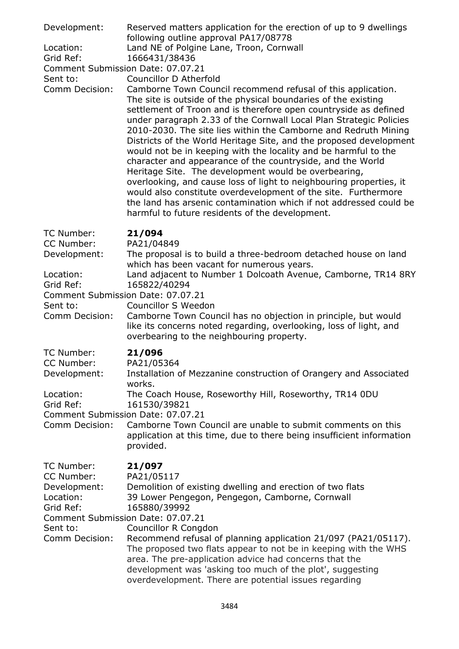| Development:<br>Location:<br>Grid Ref:<br>Sent to:<br>Comm Decision:                                                                  | Reserved matters application for the erection of up to 9 dwellings<br>following outline approval PA17/08778<br>Land NE of Polgine Lane, Troon, Cornwall<br>1666431/38436<br>Comment Submission Date: 07.07.21<br>Councillor D Atherfold<br>Camborne Town Council recommend refusal of this application.<br>The site is outside of the physical boundaries of the existing<br>settlement of Troon and is therefore open countryside as defined<br>under paragraph 2.33 of the Cornwall Local Plan Strategic Policies<br>2010-2030. The site lies within the Camborne and Redruth Mining<br>Districts of the World Heritage Site, and the proposed development<br>would not be in keeping with the locality and be harmful to the<br>character and appearance of the countryside, and the World<br>Heritage Site. The development would be overbearing,<br>overlooking, and cause loss of light to neighbouring properties, it<br>would also constitute overdevelopment of the site. Furthermore<br>the land has arsenic contamination which if not addressed could be<br>harmful to future residents of the development. |
|---------------------------------------------------------------------------------------------------------------------------------------|-------------------------------------------------------------------------------------------------------------------------------------------------------------------------------------------------------------------------------------------------------------------------------------------------------------------------------------------------------------------------------------------------------------------------------------------------------------------------------------------------------------------------------------------------------------------------------------------------------------------------------------------------------------------------------------------------------------------------------------------------------------------------------------------------------------------------------------------------------------------------------------------------------------------------------------------------------------------------------------------------------------------------------------------------------------------------------------------------------------------------|
| TC Number:<br>CC Number:<br>Development:<br>Location:<br>Grid Ref:<br>Sent to:<br>Comm Decision:                                      | 21/094<br>PA21/04849<br>The proposal is to build a three-bedroom detached house on land<br>which has been vacant for numerous years.<br>Land adjacent to Number 1 Dolcoath Avenue, Camborne, TR14 8RY<br>165822/40294<br>Comment Submission Date: 07.07.21<br><b>Councillor S Weedon</b><br>Camborne Town Council has no objection in principle, but would<br>like its concerns noted regarding, overlooking, loss of light, and<br>overbearing to the neighbouring property.                                                                                                                                                                                                                                                                                                                                                                                                                                                                                                                                                                                                                                           |
| TC Number:<br>CC Number:<br>Development:<br>Location:<br>Grid Ref:<br>Comm Decision:                                                  | 21/096<br>PA21/05364<br>Installation of Mezzanine construction of Orangery and Associated<br>works.<br>The Coach House, Roseworthy Hill, Roseworthy, TR14 0DU<br>161530/39821<br>Comment Submission Date: 07.07.21<br>Camborne Town Council are unable to submit comments on this<br>application at this time, due to there being insufficient information<br>provided.                                                                                                                                                                                                                                                                                                                                                                                                                                                                                                                                                                                                                                                                                                                                                 |
| TC Number:<br>CC Number:<br>Development:<br>Location:<br>Grid Ref:<br>Comment Submission Date: 07.07.21<br>Sent to:<br>Comm Decision: | 21/097<br>PA21/05117<br>Demolition of existing dwelling and erection of two flats<br>39 Lower Pengegon, Pengegon, Camborne, Cornwall<br>165880/39992<br>Councillor R Congdon<br>Recommend refusal of planning application 21/097 (PA21/05117).<br>The proposed two flats appear to not be in keeping with the WHS<br>area. The pre-application advice had concerns that the<br>development was 'asking too much of the plot', suggesting<br>overdevelopment. There are potential issues regarding                                                                                                                                                                                                                                                                                                                                                                                                                                                                                                                                                                                                                       |